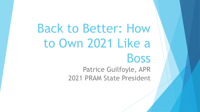Back to Better: How to Own 2021 Like a Boss

> Patrice Guilfoyle, APR 2021 PRAM State President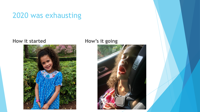#### 2020 was exhausting



#### **How it started How's it going**

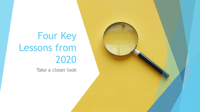# Four Key Lessons from 2020

Take a closer look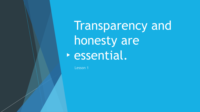Transparency and honesty are essential.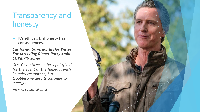## Transparency and honesty

 **It's ethical. Dishonesty has consequences.**

*California Governor In Hot Water For Attending Dinner Party Amid COVID-19 Surge*

*Gov. Gavin Newsom has apologized for the event at the famed French Laundry restaurant, but troublesome details continue to emerge.*

-*New York Times editorial*

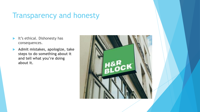## Transparency and honesty

- It's ethical. Dishonesty has consequences.
- **Admit mistakes, apologize, take steps to do something about it and tell what you're doing about it.**

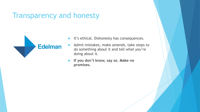#### Transparency and honesty



- It's ethical. Dishonesty has consequences.
- Admit mistakes, make amends, take steps to do something about it and tell what you're doing about it.
- **If you don't know, say so. Make no promises.**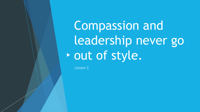Compassion and leadership never go • out of style.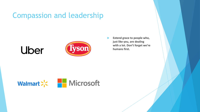#### Compassion and leadership





 **Extend grace to people who, just like you, are dealing with a lot. Don't forget we're humans first.** 

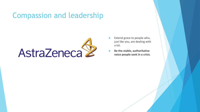#### Compassion and leadership



- Extend grace to people who, just like you, are dealing with a lot.
- **Be the stable, authoritative voice people seek in a crisis.**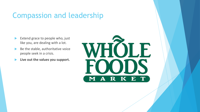#### Compassion and leadership

- Extend grace to people who, just like you, are dealing with a lot.
- $\blacktriangleright$  Be the stable, authoritative voice people seek in a crisis.
- **Live out the values you support.**

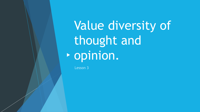Value diversity of thought and opinion.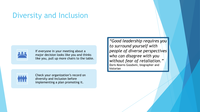#### Diversity and Inclusion



If everyone in your meeting about a major decision looks like you and thinks like you, pull up more chairs to the table.



Check your organization's record on diversity and inclusion before implementing a plan promoting it.

*"Good leadership requires you to surround yourself with people of diverse perspectives who can disagree with you without fear of retaliation."*  Doris Kearns Goodwin, biographer and historian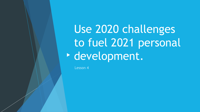Use 2020 challenges to fuel 2021 personal development.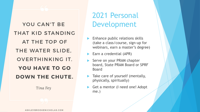YOU CAN'T BE THAT KID STANDING AT THE TOP OF THE WATER SLIDE, **OVERTHINKING IT.** YOU HAVE TO GO **DOWN THE CHUTE.** 

Tina Fey

2021 Personal Development

- Enhance public relations skills (take a class/course, sign-up for webinars, earn a master's degree)
- Earn a credential (APR)
- Serve on your PRAM chapter board, State PRAM Board or SPRF Board
- **Take care of yourself (mentally,** physically, spiritually)
- Get a mentor (I need one! Adopt me.)

ASHLEYBROOKENICHOLAS.COM